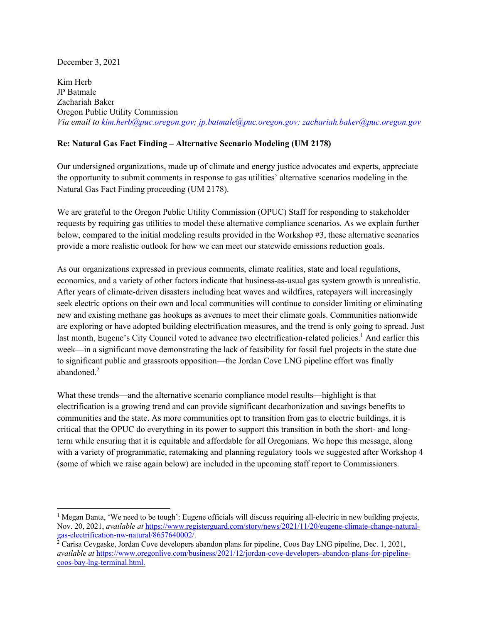#### December 3, 2021

Kim Herb JP Batmale Zachariah Baker Oregon Public Utility Commission *Via email to kim.herb@puc.oregon.gov; jp.batmale@puc.oregon.gov; zachariah.baker@puc.oregon.gov*

### **Re: Natural Gas Fact Finding – Alternative Scenario Modeling (UM 2178)**

Our undersigned organizations, made up of climate and energy justice advocates and experts, appreciate the opportunity to submit comments in response to gas utilities' alternative scenarios modeling in the Natural Gas Fact Finding proceeding (UM 2178).

We are grateful to the Oregon Public Utility Commission (OPUC) Staff for responding to stakeholder requests by requiring gas utilities to model these alternative compliance scenarios. As we explain further below, compared to the initial modeling results provided in the Workshop #3, these alternative scenarios provide a more realistic outlook for how we can meet our statewide emissions reduction goals.

As our organizations expressed in previous comments, climate realities, state and local regulations, economics, and a variety of other factors indicate that business-as-usual gas system growth is unrealistic. After years of climate-driven disasters including heat waves and wildfires, ratepayers will increasingly seek electric options on their own and local communities will continue to consider limiting or eliminating new and existing methane gas hookups as avenues to meet their climate goals. Communities nationwide are exploring or have adopted building electrification measures, and the trend is only going to spread. Just last month, Eugene's City Council voted to advance two electrification-related policies.<sup>1</sup> And earlier this week—in a significant move demonstrating the lack of feasibility for fossil fuel projects in the state due to significant public and grassroots opposition—the Jordan Cove LNG pipeline effort was finally abandoned. $2$ 

What these trends—and the alternative scenario compliance model results—highlight is that electrification is a growing trend and can provide significant decarbonization and savings benefits to communities and the state. As more communities opt to transition from gas to electric buildings, it is critical that the OPUC do everything in its power to support this transition in both the short- and longterm while ensuring that it is equitable and affordable for all Oregonians. We hope this message, along with a variety of programmatic, ratemaking and planning regulatory tools we suggested after Workshop 4 (some of which we raise again below) are included in the upcoming staff report to Commissioners.

<sup>&</sup>lt;sup>1</sup> Megan Banta, 'We need to be tough': Eugene officials will discuss requiring all-electric in new building projects, Nov. 20, 2021, *available at* https://www.registerguard.com/story/news/2021/11/20/eugene-climate-change-naturalgas-electrification-nw-natural/8657640002/.<br><sup>2</sup> Carisa Cevgaske, Jordan Cove developers abandon plans for pipeline, Coos Bay LNG pipeline, Dec. 1, 2021,

*available at* https://www.oregonlive.com/business/2021/12/jordan-cove-developers-abandon-plans-for-pipelinecoos-bay-lng-terminal.html.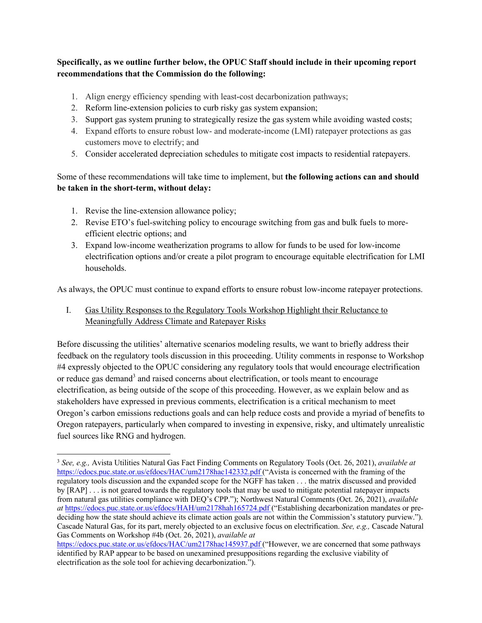## **Specifically, as we outline further below, the OPUC Staff should include in their upcoming report recommendations that the Commission do the following:**

- 1. Align energy efficiency spending with least-cost decarbonization pathways;
- 2. Reform line-extension policies to curb risky gas system expansion;
- 3. Support gas system pruning to strategically resize the gas system while avoiding wasted costs;
- 4. Expand efforts to ensure robust low- and moderate-income (LMI) ratepayer protections as gas customers move to electrify; and
- 5. Consider accelerated depreciation schedules to mitigate cost impacts to residential ratepayers.

Some of these recommendations will take time to implement, but **the following actions can and should be taken in the short-term, without delay:**

- 1. Revise the line-extension allowance policy;
- 2. Revise ETO's fuel-switching policy to encourage switching from gas and bulk fuels to moreefficient electric options; and
- 3. Expand low-income weatherization programs to allow for funds to be used for low-income electrification options and/or create a pilot program to encourage equitable electrification for LMI households.

As always, the OPUC must continue to expand efforts to ensure robust low-income ratepayer protections.

I. Gas Utility Responses to the Regulatory Tools Workshop Highlight their Reluctance to Meaningfully Address Climate and Ratepayer Risks

Before discussing the utilities' alternative scenarios modeling results, we want to briefly address their feedback on the regulatory tools discussion in this proceeding. Utility comments in response to Workshop #4 expressly objected to the OPUC considering any regulatory tools that would encourage electrification or reduce gas demand<sup>3</sup> and raised concerns about electrification, or tools meant to encourage electrification, as being outside of the scope of this proceeding. However, as we explain below and as stakeholders have expressed in previous comments, electrification is a critical mechanism to meet Oregon's carbon emissions reductions goals and can help reduce costs and provide a myriad of benefits to Oregon ratepayers, particularly when compared to investing in expensive, risky, and ultimately unrealistic fuel sources like RNG and hydrogen.

<sup>3</sup> *See, e.g.,* Avista Utilities Natural Gas Fact Finding Comments on Regulatory Tools (Oct. 26, 2021), *available at* https://edocs.puc.state.or.us/efdocs/HAC/um2178hac142332.pdf ("Avista is concerned with the framing of the regulatory tools discussion and the expanded scope for the NGFF has taken . . . the matrix discussed and provided by [RAP] . . . is not geared towards the regulatory tools that may be used to mitigate potential ratepayer impacts from natural gas utilities compliance with DEQ's CPP."); Northwest Natural Comments (Oct. 26, 2021), *available at* https://edocs.puc.state.or.us/efdocs/HAH/um2178hah165724.pdf ("Establishing decarbonization mandates or predeciding how the state should achieve its climate action goals are not within the Commission's statutory purview."). Cascade Natural Gas, for its part, merely objected to an exclusive focus on electrification. *See, e.g.,* Cascade Natural Gas Comments on Workshop #4b (Oct. 26, 2021), *available at*

https://edocs.puc.state.or.us/efdocs/HAC/um2178hac145937.pdf ("However, we are concerned that some pathways identified by RAP appear to be based on unexamined presuppositions regarding the exclusive viability of electrification as the sole tool for achieving decarbonization.").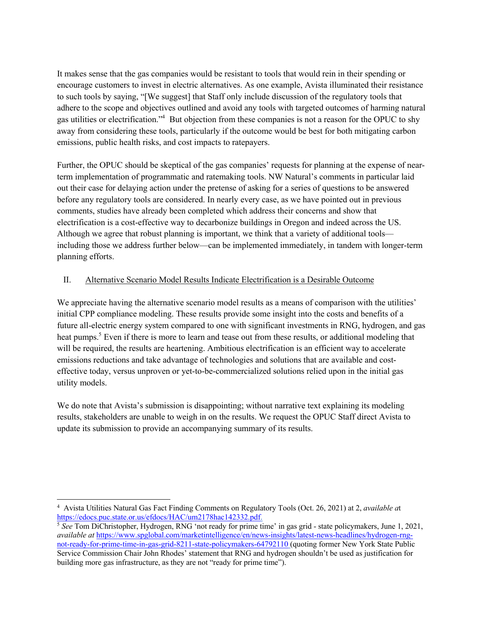It makes sense that the gas companies would be resistant to tools that would rein in their spending or encourage customers to invest in electric alternatives. As one example, Avista illuminated their resistance to such tools by saying, "[We suggest] that Staff only include discussion of the regulatory tools that adhere to the scope and objectives outlined and avoid any tools with targeted outcomes of harming natural gas utilities or electrification."<sup>4</sup> But objection from these companies is not a reason for the OPUC to shy away from considering these tools, particularly if the outcome would be best for both mitigating carbon emissions, public health risks, and cost impacts to ratepayers.

Further, the OPUC should be skeptical of the gas companies' requests for planning at the expense of nearterm implementation of programmatic and ratemaking tools. NW Natural's comments in particular laid out their case for delaying action under the pretense of asking for a series of questions to be answered before any regulatory tools are considered. In nearly every case, as we have pointed out in previous comments, studies have already been completed which address their concerns and show that electrification is a cost-effective way to decarbonize buildings in Oregon and indeed across the US. Although we agree that robust planning is important, we think that a variety of additional tools including those we address further below—can be implemented immediately, in tandem with longer-term planning efforts.

### II. Alternative Scenario Model Results Indicate Electrification is a Desirable Outcome

We appreciate having the alternative scenario model results as a means of comparison with the utilities' initial CPP compliance modeling. These results provide some insight into the costs and benefits of a future all-electric energy system compared to one with significant investments in RNG, hydrogen, and gas heat pumps.<sup>5</sup> Even if there is more to learn and tease out from these results, or additional modeling that will be required, the results are heartening. Ambitious electrification is an efficient way to accelerate emissions reductions and take advantage of technologies and solutions that are available and costeffective today, versus unproven or yet-to-be-commercialized solutions relied upon in the initial gas utility models.

We do note that Avista's submission is disappointing; without narrative text explaining its modeling results, stakeholders are unable to weigh in on the results. We request the OPUC Staff direct Avista to update its submission to provide an accompanying summary of its results.

<sup>4</sup> Avista Utilities Natural Gas Fact Finding Comments on Regulatory Tools (Oct. 26, 2021) at 2, *available a*t https://edocs.puc.state.or.us/efdocs/HAC/um2178hac142332.pdf. 5 *See* Tom DiChristopher, Hydrogen, RNG 'not ready for prime time' in gas grid - state policymakers, June 1, 2021,

*available at* https://www.spglobal.com/marketintelligence/en/news-insights/latest-news-headlines/hydrogen-rngnot-ready-for-prime-time-in-gas-grid-8211-state-policymakers-64792110 (quoting former New York State Public Service Commission Chair John Rhodes' statement that RNG and hydrogen shouldn't be used as justification for building more gas infrastructure, as they are not "ready for prime time").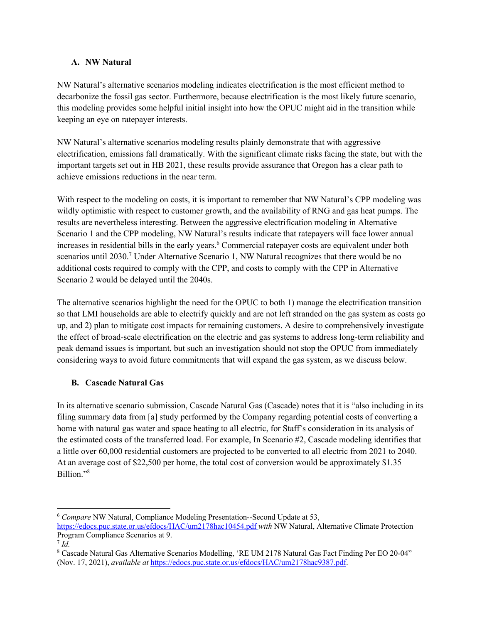### **A. NW Natural**

NW Natural's alternative scenarios modeling indicates electrification is the most efficient method to decarbonize the fossil gas sector. Furthermore, because electrification is the most likely future scenario, this modeling provides some helpful initial insight into how the OPUC might aid in the transition while keeping an eye on ratepayer interests.

NW Natural's alternative scenarios modeling results plainly demonstrate that with aggressive electrification, emissions fall dramatically. With the significant climate risks facing the state, but with the important targets set out in HB 2021, these results provide assurance that Oregon has a clear path to achieve emissions reductions in the near term.

With respect to the modeling on costs, it is important to remember that NW Natural's CPP modeling was wildly optimistic with respect to customer growth, and the availability of RNG and gas heat pumps. The results are nevertheless interesting. Between the aggressive electrification modeling in Alternative Scenario 1 and the CPP modeling, NW Natural's results indicate that ratepayers will face lower annual increases in residential bills in the early years.<sup>6</sup> Commercial ratepayer costs are equivalent under both scenarios until 2030.<sup>7</sup> Under Alternative Scenario 1, NW Natural recognizes that there would be no additional costs required to comply with the CPP, and costs to comply with the CPP in Alternative Scenario 2 would be delayed until the 2040s.

The alternative scenarios highlight the need for the OPUC to both 1) manage the electrification transition so that LMI households are able to electrify quickly and are not left stranded on the gas system as costs go up, and 2) plan to mitigate cost impacts for remaining customers. A desire to comprehensively investigate the effect of broad-scale electrification on the electric and gas systems to address long-term reliability and peak demand issues is important, but such an investigation should not stop the OPUC from immediately considering ways to avoid future commitments that will expand the gas system, as we discuss below.

### **B. Cascade Natural Gas**

In its alternative scenario submission, Cascade Natural Gas (Cascade) notes that it is "also including in its filing summary data from [a] study performed by the Company regarding potential costs of converting a home with natural gas water and space heating to all electric, for Staff's consideration in its analysis of the estimated costs of the transferred load. For example, In Scenario #2, Cascade modeling identifies that a little over 60,000 residential customers are projected to be converted to all electric from 2021 to 2040. At an average cost of \$22,500 per home, the total cost of conversion would be approximately \$1.35 Billion."8

<sup>6</sup> *Compare* NW Natural, Compliance Modeling Presentation--Second Update at 53, https://edocs.puc.state.or.us/efdocs/HAC/um2178hac10454.pdf *with* NW Natural, Alternative Climate Protection

Program Compliance Scenarios at 9.

<sup>7</sup> *Id.*

<sup>8</sup> Cascade Natural Gas Alternative Scenarios Modelling, 'RE UM 2178 Natural Gas Fact Finding Per EO 20-04" (Nov. 17, 2021), *available at* https://edocs.puc.state.or.us/efdocs/HAC/um2178hac9387.pdf.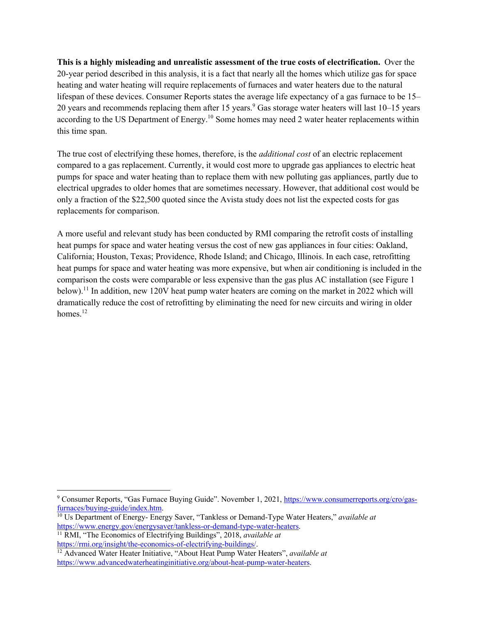**This is a highly misleading and unrealistic assessment of the true costs of electrification.** Over the 20-year period described in this analysis, it is a fact that nearly all the homes which utilize gas for space heating and water heating will require replacements of furnaces and water heaters due to the natural lifespan of these devices. Consumer Reports states the average life expectancy of a gas furnace to be 15– 20 years and recommends replacing them after 15 years.<sup>9</sup> Gas storage water heaters will last  $10-15$  years according to the US Department of Energy.<sup>10</sup> Some homes may need 2 water heater replacements within this time span.

The true cost of electrifying these homes, therefore, is the *additional cost* of an electric replacement compared to a gas replacement. Currently, it would cost more to upgrade gas appliances to electric heat pumps for space and water heating than to replace them with new polluting gas appliances, partly due to electrical upgrades to older homes that are sometimes necessary. However, that additional cost would be only a fraction of the \$22,500 quoted since the Avista study does not list the expected costs for gas replacements for comparison.

A more useful and relevant study has been conducted by RMI comparing the retrofit costs of installing heat pumps for space and water heating versus the cost of new gas appliances in four cities: Oakland, California; Houston, Texas; Providence, Rhode Island; and Chicago, Illinois. In each case, retrofitting heat pumps for space and water heating was more expensive, but when air conditioning is included in the comparison the costs were comparable or less expensive than the gas plus AC installation (see Figure 1 below).<sup>11</sup> In addition, new 120V heat pump water heaters are coming on the market in 2022 which will dramatically reduce the cost of retrofitting by eliminating the need for new circuits and wiring in older homes. $12$ 

<sup>11</sup> RMI, "The Economics of Electrifying Buildings", 2018, *available at* https://rmi.org/insight/the-economics-of-electrifying-buildings/.

<sup>12</sup> Advanced Water Heater Initiative, "About Heat Pump Water Heaters", *available at* https://www.advancedwaterheatinginitiative.org/about-heat-pump-water-heaters.

<sup>9</sup> Consumer Reports, "Gas Furnace Buying Guide". November 1, 2021, https://www.consumerreports.org/cro/gasfurnaces/buying-guide/index.htm.

<sup>10</sup> Us Department of Energy- Energy Saver, "Tankless or Demand-Type Water Heaters," *available at* https://www.energy.gov/energysaver/tankless-or-demand-type-water-heaters.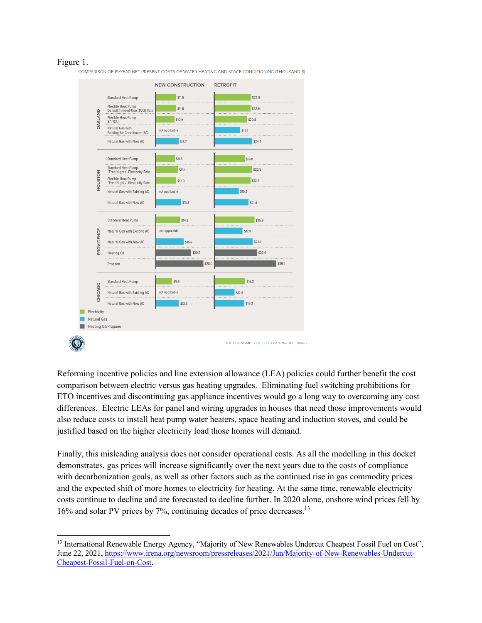#### Figure 1.



COMPARISON OF 15-YEAR NET PRESENT COSTS OF WATER HEATING AND SPACE CONDITIONING (THOUSAND \$)

Reforming incentive policies and line extension allowance (LEA) policies could further benefit the cost comparison between electric versus gas heating upgrades. Eliminating fuel switching prohibitions for ETO incentives and discontinuing gas appliance incentives would go a long way to overcoming any cost differences. Electric LEAs for panel and wiring upgrades in houses that need those improvements would also reduce costs to install heat pump water heaters, space heating and induction stoves, and could be justified based on the higher electricity load those homes will demand.

Finally, this misleading analysis does not consider operational costs. As all the modelling in this docket demonstrates, gas prices will increase significantly over the next years due to the costs of compliance with decarbonization goals, as well as other factors such as the continued rise in gas commodity prices and the expected shift of more homes to electricity for heating. At the same time, renewable electricity costs continue to decline and are forecasted to decline further. In 2020 alone, onshore wind prices fell by 16% and solar PV prices by 7%, continuing decades of price decreases.13

<sup>&</sup>lt;sup>13</sup> International Renewable Energy Agency, "Majority of New Renewables Undercut Cheapest Fossil Fuel on Cost", June 22, 2021, https://www.irena.org/newsroom/pressreleases/2021/Jun/Majority-of-New-Renewables-Undercut-Cheapest-Fossil-Fuel-on-Cost.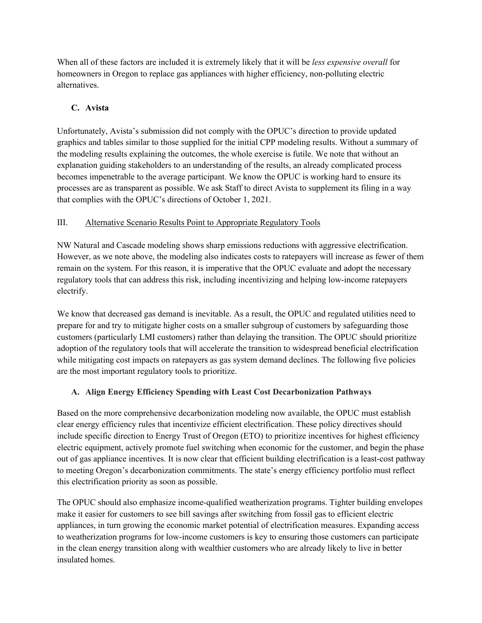When all of these factors are included it is extremely likely that it will be *less expensive overall* for homeowners in Oregon to replace gas appliances with higher efficiency, non-polluting electric alternatives.

## **C. Avista**

Unfortunately, Avista's submission did not comply with the OPUC's direction to provide updated graphics and tables similar to those supplied for the initial CPP modeling results. Without a summary of the modeling results explaining the outcomes, the whole exercise is futile. We note that without an explanation guiding stakeholders to an understanding of the results, an already complicated process becomes impenetrable to the average participant. We know the OPUC is working hard to ensure its processes are as transparent as possible. We ask Staff to direct Avista to supplement its filing in a way that complies with the OPUC's directions of October 1, 2021.

# III. Alternative Scenario Results Point to Appropriate Regulatory Tools

NW Natural and Cascade modeling shows sharp emissions reductions with aggressive electrification. However, as we note above, the modeling also indicates costs to ratepayers will increase as fewer of them remain on the system. For this reason, it is imperative that the OPUC evaluate and adopt the necessary regulatory tools that can address this risk, including incentivizing and helping low-income ratepayers electrify.

We know that decreased gas demand is inevitable. As a result, the OPUC and regulated utilities need to prepare for and try to mitigate higher costs on a smaller subgroup of customers by safeguarding those customers (particularly LMI customers) rather than delaying the transition. The OPUC should prioritize adoption of the regulatory tools that will accelerate the transition to widespread beneficial electrification while mitigating cost impacts on ratepayers as gas system demand declines. The following five policies are the most important regulatory tools to prioritize.

# **A. Align Energy Efficiency Spending with Least Cost Decarbonization Pathways**

Based on the more comprehensive decarbonization modeling now available, the OPUC must establish clear energy efficiency rules that incentivize efficient electrification. These policy directives should include specific direction to Energy Trust of Oregon (ETO) to prioritize incentives for highest efficiency electric equipment, actively promote fuel switching when economic for the customer, and begin the phase out of gas appliance incentives. It is now clear that efficient building electrification is a least-cost pathway to meeting Oregon's decarbonization commitments. The state's energy efficiency portfolio must reflect this electrification priority as soon as possible.

The OPUC should also emphasize income-qualified weatherization programs. Tighter building envelopes make it easier for customers to see bill savings after switching from fossil gas to efficient electric appliances, in turn growing the economic market potential of electrification measures. Expanding access to weatherization programs for low-income customers is key to ensuring those customers can participate in the clean energy transition along with wealthier customers who are already likely to live in better insulated homes.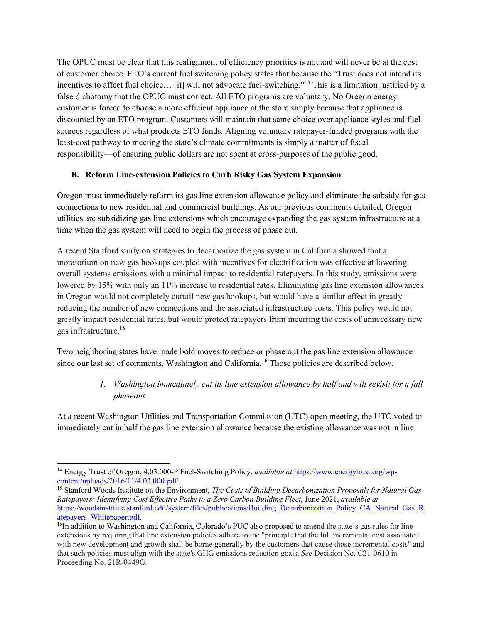The OPUC must be clear that this realignment of efficiency priorities is not and will never be at the cost of customer choice. ETO's current fuel switching policy states that because the "Trust does not intend its incentives to affect fuel choice… [it] will not advocate fuel-switching."<sup>14</sup> This is a limitation justified by a false dichotomy that the OPUC must correct. All ETO programs are voluntary. No Oregon energy customer is forced to choose a more efficient appliance at the store simply because that appliance is discounted by an ETO program. Customers will maintain that same choice over appliance styles and fuel sources regardless of what products ETO funds. Aligning voluntary ratepayer-funded programs with the least-cost pathway to meeting the state's climate commitments is simply a matter of fiscal responsibility—of ensuring public dollars are not spent at cross-purposes of the public good.

### **B. Reform Line**-**extension Policies to Curb Risky Gas System Expansion**

Oregon must immediately reform its gas line extension allowance policy and eliminate the subsidy for gas connections to new residential and commercial buildings. As our previous comments detailed, Oregon utilities are subsidizing gas line extensions which encourage expanding the gas system infrastructure at a time when the gas system will need to begin the process of phase out.

A recent Stanford study on strategies to decarbonize the gas system in California showed that a moratorium on new gas hookups coupled with incentives for electrification was effective at lowering overall systems emissions with a minimal impact to residential ratepayers. In this study, emissions were lowered by 15% with only an 11% increase to residential rates. Eliminating gas line extension allowances in Oregon would not completely curtail new gas hookups, but would have a similar effect in greatly reducing the number of new connections and the associated infrastructure costs. This policy would not greatly impact residential rates, but would protect ratepayers from incurring the costs of unnecessary new gas infrastructure. 15

Two neighboring states have made bold moves to reduce or phase out the gas line extension allowance since our last set of comments, Washington and California.<sup>16</sup> Those policies are described below.

# *1. Washington immediately cut its line extension allowance by half and will revisit for a full phaseout*

At a recent Washington Utilities and Transportation Commission (UTC) open meeting, the UTC voted to immediately cut in half the gas line extension allowance because the existing allowance was not in line

<sup>14</sup> Energy Trust of Oregon, 4.03.000-P Fuel-Switching Policy, *available at* https://www.energytrust.org/wpcontent/uploads/2016/11/4.03.000.pdf.

<sup>15</sup> Stanford Woods Institute on the Environment, *The Costs of Building Decarbonization Proposals for Natural Gas Ratepayers: Identifying Cost Effective Paths to a Zero Carbon Building Fleet,* June 2021, *available at*  https://woodsinstitute.stanford.edu/system/files/publications/Building\_Decarbonization\_Policy\_CA\_Natural\_Gas\_R atepayers\_Whitepaper.pdf. 16In addition and California, Colorado's PUC also proposed to amend the state's gas rules for line

extensions by requiring that line extension policies adhere to the "principle that the full incremental cost associated with new development and growth shall be borne generally by the customers that cause those incremental costs" and that such policies must align with the state's GHG emissions reduction goals. *See* Decision No. C21-0610 in Proceeding No. 21R-0449G.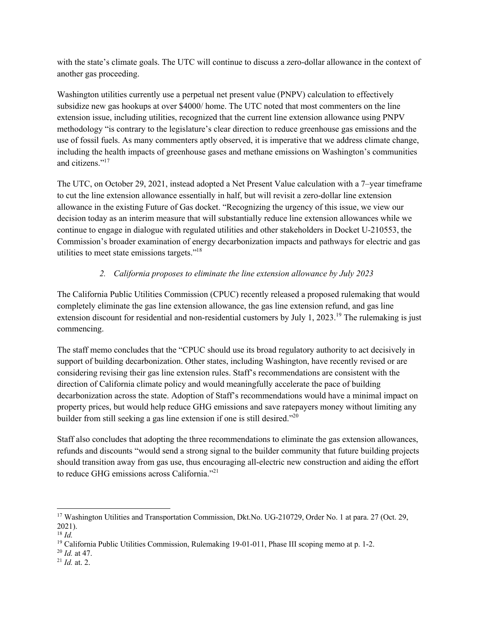with the state's climate goals. The UTC will continue to discuss a zero-dollar allowance in the context of another gas proceeding.

Washington utilities currently use a perpetual net present value (PNPV) calculation to effectively subsidize new gas hookups at over \$4000/ home. The UTC noted that most commenters on the line extension issue, including utilities, recognized that the current line extension allowance using PNPV methodology "is contrary to the legislature's clear direction to reduce greenhouse gas emissions and the use of fossil fuels. As many commenters aptly observed, it is imperative that we address climate change, including the health impacts of greenhouse gases and methane emissions on Washington's communities and citizens."<sup>17</sup>

The UTC, on October 29, 2021, instead adopted a Net Present Value calculation with a 7–year timeframe to cut the line extension allowance essentially in half, but will revisit a zero-dollar line extension allowance in the existing Future of Gas docket. "Recognizing the urgency of this issue, we view our decision today as an interim measure that will substantially reduce line extension allowances while we continue to engage in dialogue with regulated utilities and other stakeholders in Docket U-210553, the Commission's broader examination of energy decarbonization impacts and pathways for electric and gas utilities to meet state emissions targets."18

## *2. California proposes to eliminate the line extension allowance by July 2023*

The California Public Utilities Commission (CPUC) recently released a proposed rulemaking that would completely eliminate the gas line extension allowance, the gas line extension refund, and gas line extension discount for residential and non-residential customers by July 1, 2023.<sup>19</sup> The rulemaking is just commencing.

The staff memo concludes that the "CPUC should use its broad regulatory authority to act decisively in support of building decarbonization. Other states, including Washington, have recently revised or are considering revising their gas line extension rules. Staff's recommendations are consistent with the direction of California climate policy and would meaningfully accelerate the pace of building decarbonization across the state. Adoption of Staff's recommendations would have a minimal impact on property prices, but would help reduce GHG emissions and save ratepayers money without limiting any builder from still seeking a gas line extension if one is still desired."<sup>20</sup>

Staff also concludes that adopting the three recommendations to eliminate the gas extension allowances, refunds and discounts "would send a strong signal to the builder community that future building projects should transition away from gas use, thus encouraging all-electric new construction and aiding the effort to reduce GHG emissions across California."21

<sup>&</sup>lt;sup>17</sup> Washington Utilities and Transportation Commission, Dkt.No. UG-210729, Order No. 1 at para. 27 (Oct. 29, 2021).  $^{18}$  *Id.* 

<sup>&</sup>lt;sup>19</sup> California Public Utilities Commission, Rulemaking 19-01-011, Phase III scoping memo at p. 1-2.

<sup>20</sup> *Id.* at 47.

<sup>21</sup> *Id.* at. 2.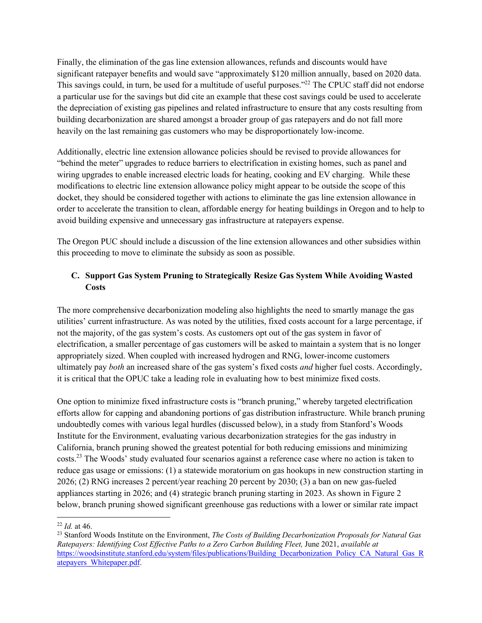Finally, the elimination of the gas line extension allowances, refunds and discounts would have significant ratepayer benefits and would save "approximately \$120 million annually, based on 2020 data. This savings could, in turn, be used for a multitude of useful purposes."<sup>22</sup> The CPUC staff did not endorse a particular use for the savings but did cite an example that these cost savings could be used to accelerate the depreciation of existing gas pipelines and related infrastructure to ensure that any costs resulting from building decarbonization are shared amongst a broader group of gas ratepayers and do not fall more heavily on the last remaining gas customers who may be disproportionately low-income.

Additionally, electric line extension allowance policies should be revised to provide allowances for "behind the meter" upgrades to reduce barriers to electrification in existing homes, such as panel and wiring upgrades to enable increased electric loads for heating, cooking and EV charging. While these modifications to electric line extension allowance policy might appear to be outside the scope of this docket, they should be considered together with actions to eliminate the gas line extension allowance in order to accelerate the transition to clean, affordable energy for heating buildings in Oregon and to help to avoid building expensive and unnecessary gas infrastructure at ratepayers expense.

The Oregon PUC should include a discussion of the line extension allowances and other subsidies within this proceeding to move to eliminate the subsidy as soon as possible.

# **C. Support Gas System Pruning to Strategically Resize Gas System While Avoiding Wasted Costs**

The more comprehensive decarbonization modeling also highlights the need to smartly manage the gas utilities' current infrastructure. As was noted by the utilities, fixed costs account for a large percentage, if not the majority, of the gas system's costs. As customers opt out of the gas system in favor of electrification, a smaller percentage of gas customers will be asked to maintain a system that is no longer appropriately sized. When coupled with increased hydrogen and RNG, lower-income customers ultimately pay *both* an increased share of the gas system's fixed costs *and* higher fuel costs. Accordingly, it is critical that the OPUC take a leading role in evaluating how to best minimize fixed costs.

One option to minimize fixed infrastructure costs is "branch pruning," whereby targeted electrification efforts allow for capping and abandoning portions of gas distribution infrastructure. While branch pruning undoubtedly comes with various legal hurdles (discussed below), in a study from Stanford's Woods Institute for the Environment, evaluating various decarbonization strategies for the gas industry in California, branch pruning showed the greatest potential for both reducing emissions and minimizing costs.23 The Woods' study evaluated four scenarios against a reference case where no action is taken to reduce gas usage or emissions: (1) a statewide moratorium on gas hookups in new construction starting in 2026; (2) RNG increases 2 percent/year reaching 20 percent by 2030; (3) a ban on new gas-fueled appliances starting in 2026; and (4) strategic branch pruning starting in 2023. As shown in Figure 2 below, branch pruning showed significant greenhouse gas reductions with a lower or similar rate impact

<sup>22</sup> *Id.* at 46.

<sup>23</sup> Stanford Woods Institute on the Environment, *The Costs of Building Decarbonization Proposals for Natural Gas Ratepayers: Identifying Cost Effective Paths to a Zero Carbon Building Fleet,* June 2021, *available at*  https://woodsinstitute.stanford.edu/system/files/publications/Building\_Decarbonization\_Policy\_CA\_Natural\_Gas\_R atepayers\_Whitepaper.pdf.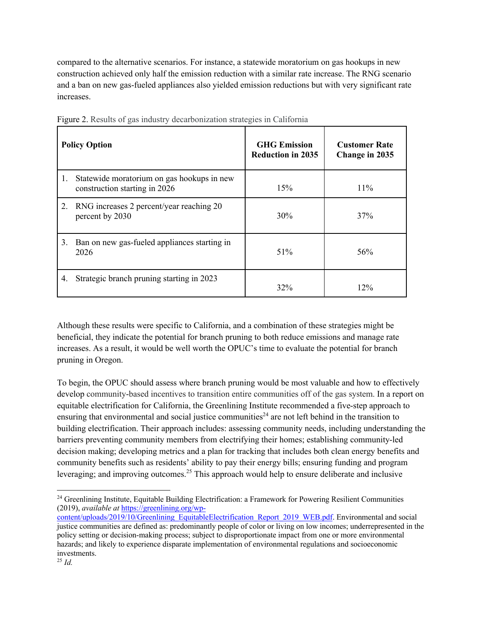compared to the alternative scenarios. For instance, a statewide moratorium on gas hookups in new construction achieved only half the emission reduction with a similar rate increase. The RNG scenario and a ban on new gas-fueled appliances also yielded emission reductions but with very significant rate increases.

| <b>Policy Option</b> |                                                                             | <b>GHG Emission</b><br><b>Reduction in 2035</b> | <b>Customer Rate</b><br>Change in 2035 |  |  |
|----------------------|-----------------------------------------------------------------------------|-------------------------------------------------|----------------------------------------|--|--|
| 1.                   | Statewide moratorium on gas hookups in new<br>construction starting in 2026 | 15%                                             | 11%                                    |  |  |
| 2.                   | RNG increases 2 percent/year reaching 20<br>percent by 2030                 | 30%                                             | 37%                                    |  |  |
| 3.                   | Ban on new gas-fueled appliances starting in<br>2026                        | 51%                                             | 56%                                    |  |  |
| 4.                   | Strategic branch pruning starting in 2023                                   | 32%                                             | $12\%$                                 |  |  |

|  |  | Figure 2. Results of gas industry decarbonization strategies in California |  |  |
|--|--|----------------------------------------------------------------------------|--|--|
|  |  |                                                                            |  |  |

Although these results were specific to California, and a combination of these strategies might be beneficial, they indicate the potential for branch pruning to both reduce emissions and manage rate increases. As a result, it would be well worth the OPUC's time to evaluate the potential for branch pruning in Oregon.

To begin, the OPUC should assess where branch pruning would be most valuable and how to effectively develop community-based incentives to transition entire communities off of the gas system. In a report on equitable electrification for California, the Greenlining Institute recommended a five-step approach to ensuring that environmental and social justice communities<sup>24</sup> are not left behind in the transition to building electrification. Their approach includes: assessing community needs, including understanding the barriers preventing community members from electrifying their homes; establishing community-led decision making; developing metrics and a plan for tracking that includes both clean energy benefits and community benefits such as residents' ability to pay their energy bills; ensuring funding and program leveraging; and improving outcomes.<sup>25</sup> This approach would help to ensure deliberate and inclusive

<sup>&</sup>lt;sup>24</sup> Greenlining Institute, Equitable Building Electrification: a Framework for Powering Resilient Communities (2019), *available at* https://greenlining.org/wp-

content/uploads/2019/10/Greenlining\_EquitableElectrification\_Report\_2019\_WEB.pdf. Environmental and social justice communities are defined as: predominantly people of color or living on low incomes; underrepresented in the policy setting or decision-making process; subject to disproportionate impact from one or more environmental hazards; and likely to experience disparate implementation of environmental regulations and socioeconomic investments.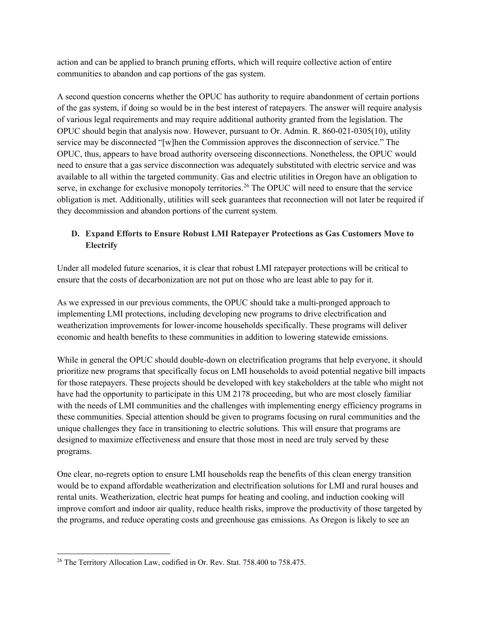action and can be applied to branch pruning efforts, which will require collective action of entire communities to abandon and cap portions of the gas system.

A second question concerns whether the OPUC has authority to require abandonment of certain portions of the gas system, if doing so would be in the best interest of ratepayers. The answer will require analysis of various legal requirements and may require additional authority granted from the legislation. The OPUC should begin that analysis now. However, pursuant to Or. Admin. R. 860-021-0305(10), utility service may be disconnected "[w]hen the Commission approves the disconnection of service." The OPUC, thus, appears to have broad authority overseeing disconnections. Nonetheless, the OPUC would need to ensure that a gas service disconnection was adequately substituted with electric service and was available to all within the targeted community. Gas and electric utilities in Oregon have an obligation to serve, in exchange for exclusive monopoly territories.<sup>26</sup> The OPUC will need to ensure that the service obligation is met. Additionally, utilities will seek guarantees that reconnection will not later be required if they decommission and abandon portions of the current system.

# **D. Expand Efforts to Ensure Robust LMI Ratepayer Protections as Gas Customers Move to Electrify**

Under all modeled future scenarios, it is clear that robust LMI ratepayer protections will be critical to ensure that the costs of decarbonization are not put on those who are least able to pay for it.

As we expressed in our previous comments, the OPUC should take a multi-pronged approach to implementing LMI protections, including developing new programs to drive electrification and weatherization improvements for lower-income households specifically. These programs will deliver economic and health benefits to these communities in addition to lowering statewide emissions.

While in general the OPUC should double-down on electrification programs that help everyone, it should prioritize new programs that specifically focus on LMI households to avoid potential negative bill impacts for those ratepayers. These projects should be developed with key stakeholders at the table who might not have had the opportunity to participate in this UM 2178 proceeding, but who are most closely familiar with the needs of LMI communities and the challenges with implementing energy efficiency programs in these communities. Special attention should be given to programs focusing on rural communities and the unique challenges they face in transitioning to electric solutions. This will ensure that programs are designed to maximize effectiveness and ensure that those most in need are truly served by these programs.

One clear, no-regrets option to ensure LMI households reap the benefits of this clean energy transition would be to expand affordable weatherization and electrification solutions for LMI and rural houses and rental units. Weatherization, electric heat pumps for heating and cooling, and induction cooking will improve comfort and indoor air quality, reduce health risks, improve the productivity of those targeted by the programs, and reduce operating costs and greenhouse gas emissions. As Oregon is likely to see an

<sup>&</sup>lt;sup>26</sup> The Territory Allocation Law, codified in Or. Rev. Stat. 758.400 to 758.475.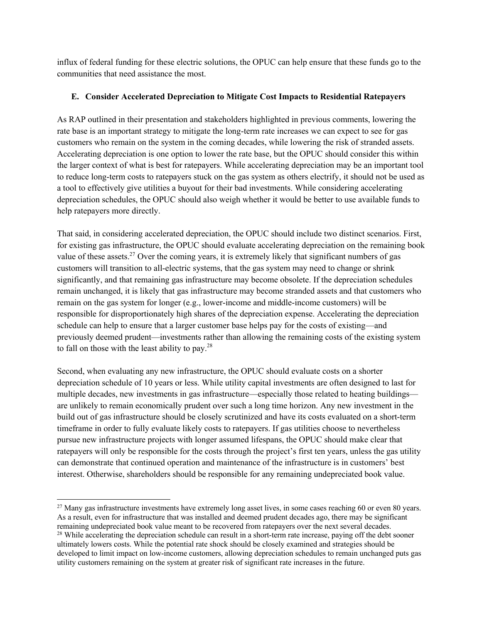influx of federal funding for these electric solutions, the OPUC can help ensure that these funds go to the communities that need assistance the most.

### **E. Consider Accelerated Depreciation to Mitigate Cost Impacts to Residential Ratepayers**

As RAP outlined in their presentation and stakeholders highlighted in previous comments, lowering the rate base is an important strategy to mitigate the long-term rate increases we can expect to see for gas customers who remain on the system in the coming decades, while lowering the risk of stranded assets. Accelerating depreciation is one option to lower the rate base, but the OPUC should consider this within the larger context of what is best for ratepayers. While accelerating depreciation may be an important tool to reduce long-term costs to ratepayers stuck on the gas system as others electrify, it should not be used as a tool to effectively give utilities a buyout for their bad investments. While considering accelerating depreciation schedules, the OPUC should also weigh whether it would be better to use available funds to help ratepayers more directly.

That said, in considering accelerated depreciation, the OPUC should include two distinct scenarios. First, for existing gas infrastructure, the OPUC should evaluate accelerating depreciation on the remaining book value of these assets.<sup>27</sup> Over the coming years, it is extremely likely that significant numbers of gas customers will transition to all-electric systems, that the gas system may need to change or shrink significantly, and that remaining gas infrastructure may become obsolete. If the depreciation schedules remain unchanged, it is likely that gas infrastructure may become stranded assets and that customers who remain on the gas system for longer (e.g., lower-income and middle-income customers) will be responsible for disproportionately high shares of the depreciation expense. Accelerating the depreciation schedule can help to ensure that a larger customer base helps pay for the costs of existing—and previously deemed prudent—investments rather than allowing the remaining costs of the existing system to fall on those with the least ability to pay. $28$ 

Second, when evaluating any new infrastructure, the OPUC should evaluate costs on a shorter depreciation schedule of 10 years or less. While utility capital investments are often designed to last for multiple decades, new investments in gas infrastructure—especially those related to heating buildings are unlikely to remain economically prudent over such a long time horizon. Any new investment in the build out of gas infrastructure should be closely scrutinized and have its costs evaluated on a short-term timeframe in order to fully evaluate likely costs to ratepayers. If gas utilities choose to nevertheless pursue new infrastructure projects with longer assumed lifespans, the OPUC should make clear that ratepayers will only be responsible for the costs through the project's first ten years, unless the gas utility can demonstrate that continued operation and maintenance of the infrastructure is in customers' best interest. Otherwise, shareholders should be responsible for any remaining undepreciated book value.

 $27$  Many gas infrastructure investments have extremely long asset lives, in some cases reaching 60 or even 80 years. As a result, even for infrastructure that was installed and deemed prudent decades ago, there may be significant remaining undepreciated book value meant to be recovered from ratepayers over the next several decades. <sup>28</sup> While accelerating the depreciation schedule can result in a short-term rate increase, paying off the debt sooner ultimately lowers costs. While the potential rate shock should be closely examined and strategies should be developed to limit impact on low-income customers, allowing depreciation schedules to remain unchanged puts gas utility customers remaining on the system at greater risk of significant rate increases in the future.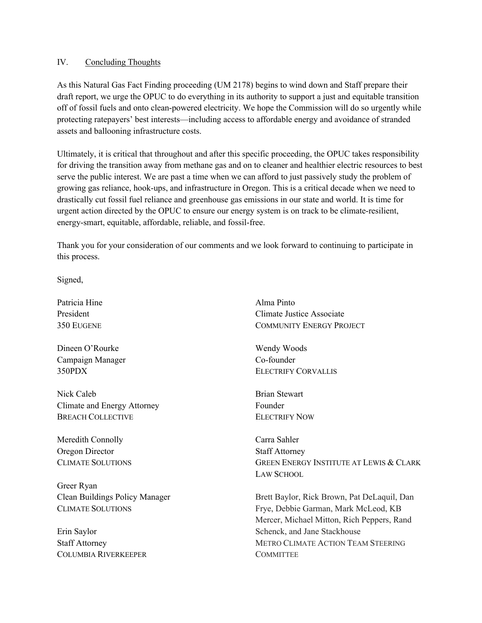#### IV. Concluding Thoughts

As this Natural Gas Fact Finding proceeding (UM 2178) begins to wind down and Staff prepare their draft report, we urge the OPUC to do everything in its authority to support a just and equitable transition off of fossil fuels and onto clean-powered electricity. We hope the Commission will do so urgently while protecting ratepayers' best interests—including access to affordable energy and avoidance of stranded assets and ballooning infrastructure costs.

Ultimately, it is critical that throughout and after this specific proceeding, the OPUC takes responsibility for driving the transition away from methane gas and on to cleaner and healthier electric resources to best serve the public interest. We are past a time when we can afford to just passively study the problem of growing gas reliance, hook-ups, and infrastructure in Oregon. This is a critical decade when we need to drastically cut fossil fuel reliance and greenhouse gas emissions in our state and world. It is time for urgent action directed by the OPUC to ensure our energy system is on track to be climate-resilient, energy-smart, equitable, affordable, reliable, and fossil-free.

Thank you for your consideration of our comments and we look forward to continuing to participate in this process.

Signed,

Patricia Hine President 350 EUGENE

Dineen O'Rourke Campaign Manager 350PDX

Nick Caleb Climate and Energy Attorney BREACH COLLECTIVE

Meredith Connolly Oregon Director CLIMATE SOLUTIONS

Greer Ryan Clean Buildings Policy Manager CLIMATE SOLUTIONS

Erin Saylor Staff Attorney COLUMBIA RIVERKEEPER Alma Pinto Climate Justice Associate COMMUNITY ENERGY PROJECT

Wendy Woods Co-founder ELECTRIFY CORVALLIS

Brian Stewart Founder ELECTRIFY NOW

Carra Sahler Staff Attorney GREEN ENERGY INSTITUTE AT LEWIS & CLARK LAW SCHOOL

Brett Baylor, Rick Brown, Pat DeLaquil, Dan Frye, Debbie Garman, Mark McLeod, KB Mercer, Michael Mitton, Rich Peppers, Rand Schenck, and Jane Stackhouse METRO CLIMATE ACTION TEAM STEERING **COMMITTEE**